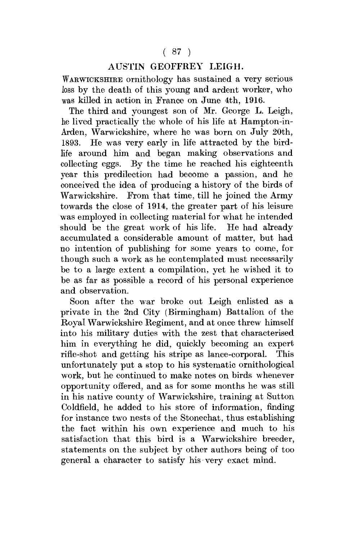## $(87)$

## AUSTIN GEOFFREY LEIGH.

WARWICKSHIRE ornithology has sustained a very serious loss by the death of this young and ardent worker, who was killed in action in France on June 4th, 1916,

The third and youngest son of Mr. George L. Leigh, he lived practically the whole of his life at Hampton-in-Arden, Warwickshire, where he was born on July 20th, 1893. He was very early in life attracted by the birdlife around him and began making observations and collecting eggs. By the time he reached his eighteenth year this predilection had become a passion, and he conceived the idea of producing a history of the birds of Warwickshire. From that time, till he joined the Army towards the close of 1914, the greater part of his leisure was employed in collecting material for what he intended should be the great work of his life. He had already accumulated a considerable amount of matter, but had no intention of publishing for some years to come, for though such a work as he contemplated must necessarily be to a large extent a compilation, yet he wished it to be as far as possible a record of his personal experience and observation.

Soon after the war broke out Leigh enlisted as a private in the 2nd City (Birmingham) Battalion of the Royal Warwickshire Regiment, and at once threw himself into his military duties with the zest that characterised him in everything he did, quickly becoming an expert rifle-shot and getting his stripe as lance-corporal. This unfortunately put a stop to his systematic ornithological work, but he continued to make notes on birds whenever opportunity offered, and as for some months he was still in his native county of Warwickshire, training at Sutton Coldfield, he added to his store of information, finding for instance two nests of the Stonechat, thus establishing the fact within his own experience and much to his satisfaction that this bird is a Warwickshire breeder, statements on the subject by other authors being of too general a character to satisfy his very exact mind.